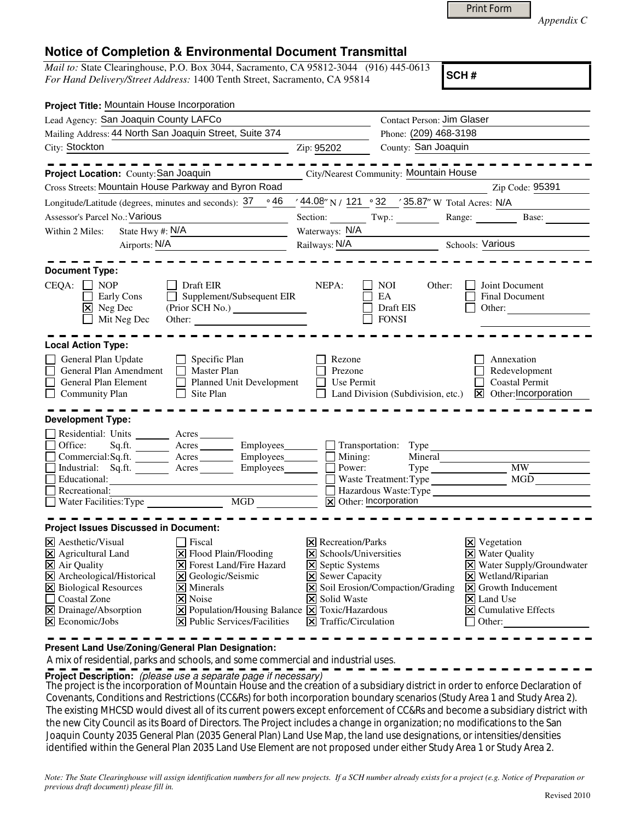|  | Print Form |
|--|------------|
|  |            |

*Appendix C* 

## **Notice of Completion & Environmental Document Transmittal**

*Mail to:* State Clearinghouse, P.O. Box 3044, Sacramento, CA 95812-3044 (916) 445-0613 *For Hand Delivery/Street Address:* 1400 Tenth Street, Sacramento, CA 95814

**SCH #**

| Project Title: Mountain House Incorporation                                                                                                                                                                                                                                                                                                                                                                                                                                                                                                                |                                                                                                                                                                                  |                                                                                      |                                                                                                                                                                                                                                                                        |  |  |  |  |  |
|------------------------------------------------------------------------------------------------------------------------------------------------------------------------------------------------------------------------------------------------------------------------------------------------------------------------------------------------------------------------------------------------------------------------------------------------------------------------------------------------------------------------------------------------------------|----------------------------------------------------------------------------------------------------------------------------------------------------------------------------------|--------------------------------------------------------------------------------------|------------------------------------------------------------------------------------------------------------------------------------------------------------------------------------------------------------------------------------------------------------------------|--|--|--|--|--|
| Lead Agency: San Joaquin County LAFCo                                                                                                                                                                                                                                                                                                                                                                                                                                                                                                                      | Contact Person: Jim Glaser                                                                                                                                                       |                                                                                      |                                                                                                                                                                                                                                                                        |  |  |  |  |  |
| Mailing Address: 44 North San Joaquin Street, Suite 374                                                                                                                                                                                                                                                                                                                                                                                                                                                                                                    |                                                                                                                                                                                  | Phone: (209) 468-3198                                                                |                                                                                                                                                                                                                                                                        |  |  |  |  |  |
| City: Stockton                                                                                                                                                                                                                                                                                                                                                                                                                                                                                                                                             | Zip: 95202                                                                                                                                                                       | County: San Joaquin                                                                  |                                                                                                                                                                                                                                                                        |  |  |  |  |  |
| Project Location: County: San Joaquin                                                                                                                                                                                                                                                                                                                                                                                                                                                                                                                      |                                                                                                                                                                                  | City/Nearest Community: Mountain House                                               | Zip Code: 95391                                                                                                                                                                                                                                                        |  |  |  |  |  |
| Cross Streets: Mountain House Parkway and Byron Road                                                                                                                                                                                                                                                                                                                                                                                                                                                                                                       |                                                                                                                                                                                  | $\frac{(44.08}{\gamma}N/121$ $\degree$ 32 $\frac{(35.87)}{\gamma}W$ Total Acres: N/A |                                                                                                                                                                                                                                                                        |  |  |  |  |  |
| Longitude/Latitude (degrees, minutes and seconds): $37 \cdot 46$                                                                                                                                                                                                                                                                                                                                                                                                                                                                                           |                                                                                                                                                                                  |                                                                                      |                                                                                                                                                                                                                                                                        |  |  |  |  |  |
| Assessor's Parcel No.: Various                                                                                                                                                                                                                                                                                                                                                                                                                                                                                                                             |                                                                                                                                                                                  |                                                                                      | Section: Twp.: Range: Base:                                                                                                                                                                                                                                            |  |  |  |  |  |
| State Hwy #: N/A<br>Within 2 Miles:                                                                                                                                                                                                                                                                                                                                                                                                                                                                                                                        |                                                                                                                                                                                  | Waterways: N/A                                                                       |                                                                                                                                                                                                                                                                        |  |  |  |  |  |
| Airports: N/A<br><u> 1989 - Jan Stein Stein Stein Stein Stein Stein Stein Stein Stein Stein Stein Stein Stein Stein Stein Stein S</u>                                                                                                                                                                                                                                                                                                                                                                                                                      | Railways: N/A                                                                                                                                                                    |                                                                                      | <b>Schools: Various</b>                                                                                                                                                                                                                                                |  |  |  |  |  |
| <b>Document Type:</b>                                                                                                                                                                                                                                                                                                                                                                                                                                                                                                                                      |                                                                                                                                                                                  |                                                                                      |                                                                                                                                                                                                                                                                        |  |  |  |  |  |
| CEQA:<br>$\Box$ NOP<br>Draft EIR<br>$\Box$<br>Supplement/Subsequent EIR<br>Early Cons<br>$\boxtimes$ Neg Dec<br>$\Box$ Mit Neg Dec                                                                                                                                                                                                                                                                                                                                                                                                                         | NEPA:                                                                                                                                                                            | NOI<br>Other:<br>EA<br>Draft EIS<br><b>FONSI</b>                                     | Joint Document<br><b>Final Document</b><br>Other:                                                                                                                                                                                                                      |  |  |  |  |  |
| <b>Local Action Type:</b>                                                                                                                                                                                                                                                                                                                                                                                                                                                                                                                                  |                                                                                                                                                                                  |                                                                                      |                                                                                                                                                                                                                                                                        |  |  |  |  |  |
| General Plan Update<br>$\Box$ Specific Plan<br>Г<br>General Plan Amendment<br>Master Plan<br>General Plan Element<br><b>Planned Unit Development</b><br><b>Community Plan</b><br>Site Plan                                                                                                                                                                                                                                                                                                                                                                 | Rezone<br>Prezone<br>Use Permit                                                                                                                                                  |                                                                                      | Annexation<br>Redevelopment<br><b>Coastal Permit</b><br>Land Division (Subdivision, etc.) $\boxtimes$ Other: Incorporation                                                                                                                                             |  |  |  |  |  |
| <b>Development Type:</b><br>Residential: Units _________ Acres _______<br>Sq.ft. ________ Acres __________ Employees _______ __ Transportation: Type<br>Office:<br>Commercial:Sq.ft. ________ Acres _________ Employees _______ __ Mining:<br>Industrial: Sq.ft. <u>Acres</u> Acres Employees<br>Educational:                                                                                                                                                                                                                                              | Power:                                                                                                                                                                           | Mineral<br>$Type \_\_$<br>Waste Treatment: Type                                      | MW<br>MGD                                                                                                                                                                                                                                                              |  |  |  |  |  |
| Recreational:                                                                                                                                                                                                                                                                                                                                                                                                                                                                                                                                              |                                                                                                                                                                                  | Hazardous Waste: Type                                                                |                                                                                                                                                                                                                                                                        |  |  |  |  |  |
|                                                                                                                                                                                                                                                                                                                                                                                                                                                                                                                                                            |                                                                                                                                                                                  | X Other: Incorporation                                                               |                                                                                                                                                                                                                                                                        |  |  |  |  |  |
| <b>Project Issues Discussed in Document:</b>                                                                                                                                                                                                                                                                                                                                                                                                                                                                                                               |                                                                                                                                                                                  |                                                                                      |                                                                                                                                                                                                                                                                        |  |  |  |  |  |
| $ \mathsf{X} $ Aesthetic/Visual<br>  Fiscal<br>X Agricultural Land<br>X Flood Plain/Flooding<br>$\overline{\mathsf{X}}$ Air Quality<br><b>X</b> Forest Land/Fire Hazard<br>X Archeological/Historical<br>X Geologic/Seismic<br>X Biological Resources<br>$\times$ Minerals<br>$\Box$<br><b>Coastal Zone</b><br>$\vert$ X Noise<br>$\boxtimes$ Drainage/Absorption<br>$\boxed{\mathsf{X}}$ Population/Housing Balance $\boxed{\mathsf{X}}$ Toxic/Hazardous<br>$\overline{\mathsf{x}}$ Economic/Jobs<br>$ \mathbf{\overline{X}} $ Public Services/Facilities | $ \mathsf{X} $ Recreation/Parks<br>$ \mathsf{X} $ Schools/Universities<br>$\Xi$ Septic Systems<br>X Sewer Capacity<br><b>X</b> Solid Waste<br>$ \mathsf{X} $ Traffic/Circulation | $\boxed{\mathsf{X}}$ Soil Erosion/Compaction/Grading                                 | $\boxtimes$ Vegetation<br><b>X</b> Water Quality<br>X Water Supply/Groundwater<br>$\times$ Wetland/Riparian<br>$\vert\overline{\mathsf{x}}\vert$ Growth Inducement<br>$\overline{\mathsf{x}}$ Land Use<br>$\vert \mathbf{x} \vert$ Cumulative Effects<br>$\Box$ Other: |  |  |  |  |  |

**Present Land Use/Zoning/General Plan Designation:**

A mix of residential, parks and schools, and some commercial and industrial uses.

**Project Description:** (please use a separate page if necessary)

The project is the incorporation of Mountain House and the creation of a subsidiary district in order to enforce Declaration of<br>Comparison Candidates and Declarations (COOD) for both incorporation have dependence of Stude Covenants, Conditions and Restrictions (CC&Rs) for both incorporation boundary scenarios (Study Area 1 and Study Area 2). The existing MHCSD would divest all of its current powers except enforcement of CC&Rs and become a subsidiary district with the new City Council as its Board of Directors. The Project includes a change in organization; no modifications to the San Joaquin County 2035 General Plan (2035 General Plan) Land Use Map, the land use designations, or intensities/densities identified within the General Plan 2035 Land Use Element are not proposed under either Study Area 1 or Study Area 2.

*Note: The State Clearinghouse will assign identification numbers for all new projects. If a SCH number already exists for a project (e.g. Notice of Preparation or previous draft document) please fill in.*